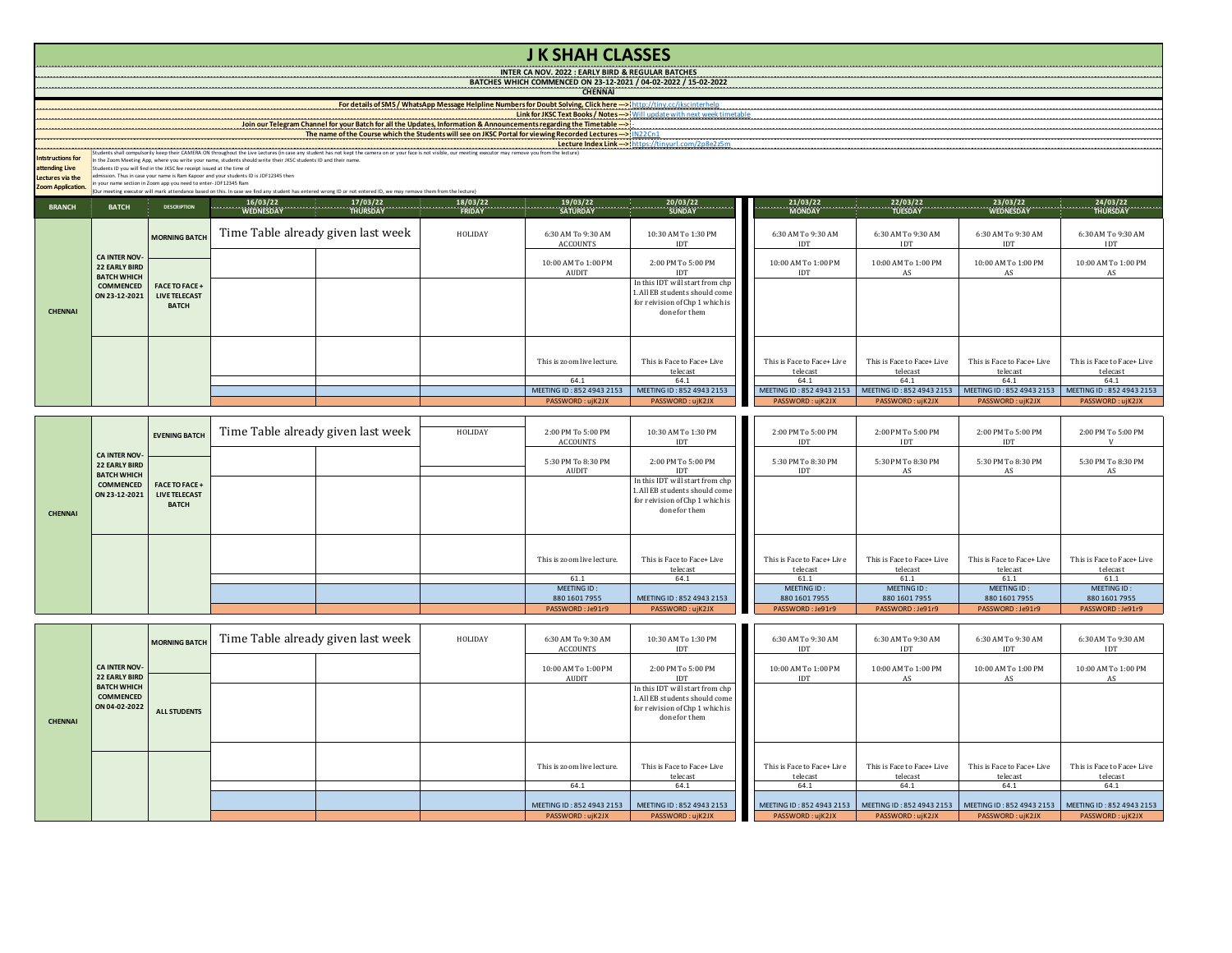## **J K SHAH CLASSES**

**INTER CA NOV. 2022 : EARLY BIRD & REGULAR BATCHES BATCHES WHICH COMMENCED ON 23-12-2021 / 04-02-2022 / 15-02-2022**

**CHENNAI** 

**Link for JKSC Text Books / Notes --->** Will update with next week timetable **For details of SMS / WhatsApp Message Helpline Numbers for Doubt Solving, Click here --->** http://tiny.cc/jkscinterhelp

## **Lecture Index Link ---> The name of the Course which the Students will see on JKSC Portal for viewing Recorded Lectures --->** IN22Cn1 Join our Telegram Channel for your Batch for all the Updates, Information & Announcements regarding the Timetable --->

**Intstructions for**  Students shall computering keep their CAMERA ON throughout the Une Lecture In case any student has not keept the camera on or your face is not visible, our meeting executor may remove you from the lecture)<br>The fit Comment

**attending Live** 

**Lectures via the** 

**Zoom Application.**

| <b>BRANCH</b>  | <b>BATCH</b>                                                                        | <b>DESCRIPTION</b>                                                 | $\begin{array}{c}\n \\ \hline\n\text{WEDNESDAY}\n\end{array}$ | $\frac{17/03/22}{\text{THURSDAY}}$ |         |                                       | 18/03/22 20/03/22 20/03/22 20/03/22 20/03/22 20:03/22 20:04<br>FRIDAY 3ATURDAY SATURDAY SUNDAY       |                                  |                                  | $\begin{bmatrix} 21/03/22 & 22/03/22 & 23/03/22 & 23/03/22 & 24/03/22 & 24/03/22 & 24/03/22 & 24/03/22 & 24/03/22 & 24/03/22 & 24/03/22 & 24/03/22 & 24/03/22 & 24/03/22 & 24/03/22 & 24/03/22 & 25/03/22 & 26/03/22 & 27/03/22 & 27/03/22 & 27/03/22 & 27/$ |                            |
|----------------|-------------------------------------------------------------------------------------|--------------------------------------------------------------------|---------------------------------------------------------------|------------------------------------|---------|---------------------------------------|------------------------------------------------------------------------------------------------------|----------------------------------|----------------------------------|--------------------------------------------------------------------------------------------------------------------------------------------------------------------------------------------------------------------------------------------------------------|----------------------------|
|                |                                                                                     |                                                                    |                                                               |                                    |         |                                       |                                                                                                      |                                  |                                  |                                                                                                                                                                                                                                                              |                            |
| <b>CHENNAI</b> | <b>CA INTER NOV-</b><br><b>22 EARLY BIRD</b><br><b>BATCH WHICH</b><br>ON 23-12-2021 | <b>MORNING BATCH</b>                                               |                                                               | Time Table already given last week | HOLIDAY | 6:30 AM To 9:30 AM<br><b>ACCOUNTS</b> | 10:30 AM To 1:30 PM<br>IDT                                                                           | 6:30 AM To 9:30 AM<br><b>IDT</b> | 6:30 AM To 9:30 AM<br><b>IDT</b> | 6:30 AM To 9:30 AM<br>IDT                                                                                                                                                                                                                                    | 6:30 AM To 9:30 AM<br>IDT  |
|                |                                                                                     | COMMENCED   FACE TO FACE +<br><b>LIVE TELECAST</b><br><b>BATCH</b> |                                                               |                                    |         | 10:00 AM To 1:00 PM<br>AUDIT          | 2:00 PM To 5:00 PM<br>IDT                                                                            | 10:00 AM To 1:00 PM<br>IDT       | 10:00 AM To 1:00 PM<br>AS        | 10:00 AM To 1:00 PM<br>AS                                                                                                                                                                                                                                    | 10:00 AM To 1:00 PM<br>AS  |
|                |                                                                                     |                                                                    |                                                               |                                    |         |                                       | In this IDT will start from chp<br>1. All EB students should come<br>for reivision of Chp 1 which is |                                  |                                  |                                                                                                                                                                                                                                                              |                            |
|                |                                                                                     |                                                                    |                                                               |                                    |         |                                       | done for them                                                                                        |                                  |                                  |                                                                                                                                                                                                                                                              |                            |
|                |                                                                                     |                                                                    |                                                               |                                    |         | This is zoom live lecture.            | This is Face to Face+ Live                                                                           | This is Face to Face+ Live       | This is Face to Face+ Live       | This is Face to Face+ Live                                                                                                                                                                                                                                   | This is Face to Face+ Live |
|                |                                                                                     |                                                                    |                                                               |                                    |         |                                       | telecast                                                                                             | telecast                         | telecast                         | telecast                                                                                                                                                                                                                                                     | telecast                   |
|                |                                                                                     |                                                                    |                                                               |                                    |         | 64.1                                  | 64.1                                                                                                 | 64.1                             | 64.1                             | 64.1                                                                                                                                                                                                                                                         | 64.1                       |
|                |                                                                                     |                                                                    |                                                               |                                    |         | MEETING ID: 852 4943 2153             | MEETING ID: 852 4943 2153                                                                            | MEETING ID: 852 4943 2153        | MEETING ID: 852 4943 2153        | MEETING ID: 852 4943 2153                                                                                                                                                                                                                                    | MEETING ID: 852 4943 2153  |
|                |                                                                                     |                                                                    |                                                               |                                    |         | PASSWORD: ujK2JX                      | PASSWORD: ujK2JX                                                                                     | PASSWORD: ujK2JX                 | PASSWORD:ujK2JX                  | PASSWORD: ujK2JX                                                                                                                                                                                                                                             | PASSWORD: ujK2JX           |

| <b>CHENNAI</b> | <b>CA INTER NOV-</b><br>22 EARLY BIRD<br><b>BATCH WHICH</b> | <b>EVENING BATCH</b>                                      | Time Table already given last week | HOLIDAY | 2:00 PM To 5:00 PM<br>ACCOUNTS     | 10:30 AM To 1:30 PM<br>IDT                                                                                            | 2:00 PM To 5:00 PM<br>IDT                      | 2:00 PM To 5:00 PM<br><b>IDT</b>               | 2:00 PM To 5:00 PM<br><b>IDT</b>               | 2:00 PM To 5:00 PM                             |
|----------------|-------------------------------------------------------------|-----------------------------------------------------------|------------------------------------|---------|------------------------------------|-----------------------------------------------------------------------------------------------------------------------|------------------------------------------------|------------------------------------------------|------------------------------------------------|------------------------------------------------|
|                |                                                             |                                                           |                                    |         | 5:30 PM To 8:30 PM<br>AUDIT        | 2:00 PM To 5:00 PM<br>ID <sub>1</sub>                                                                                 | 5:30 PM To 8:30 PM<br>IDT                      | 5:30 PM To 8:30 PM<br>AS                       | 5:30 PM To 8:30 PM<br>AS                       | 5:30 PM To 8:30 PM<br>AS                       |
|                | ON 23-12-2021                                               | COMMENCED FACE TO FACE +<br>LIVE TELECAST<br><b>BATCH</b> |                                    |         |                                    | In this IDT will start from chp<br>1. All EB students should come<br>for reivision of Chp 1 which is<br>done for them |                                                |                                                |                                                |                                                |
|                |                                                             |                                                           |                                    |         | This is zoom live lecture.<br>61.1 | This is Face to Face+ Live<br>telecast<br>64.1                                                                        | This is Face to Face+ Live<br>telecast<br>61.1 | This is Face to Face+ Live<br>telecast<br>61.1 | This is Face to Face+ Live<br>telecast<br>61.1 | This is Face to Face+ Live<br>telecast<br>61.1 |
|                |                                                             |                                                           |                                    |         | MEETING ID:<br>880 1601 7955       | MEETING ID: 852 4943 2153                                                                                             | MEETING ID:<br>880 1601 7955                   | MEETING ID:<br>880 1601 7955                   | MEETING ID:<br>880 1601 7955                   | MEETING ID:<br>880 1601 7955                   |
|                |                                                             |                                                           |                                    |         | PASSWORD: Je91r9                   | PASSWORD: ujK2JX                                                                                                      | PASSWORD: Je91r9                               | PASSWORD: Je91r9                               | PASSWORD: Je91r9                               | PASSWORD: Je91r9                               |

|                | <b>CA INTER NOV-</b><br><b>22 EARLY BIRD</b>            | <b>MORNING BATCH</b> | Time Table already given last week | HOLIDAY | 6:30 AM To 9:30 AM<br><b>ACCOUNTS</b> | 10:30 AM To 1:30 PM<br>IDT                                                                                            | 6:30 AM To 9:30 AM<br><b>IDT</b>                                                                              | 6:30 AM To 9:30 AM<br>IDT              | 6:30 AM To 9:30 AM<br>IDT              | 6:30 AM To 9:30 AM<br>IDT              |
|----------------|---------------------------------------------------------|----------------------|------------------------------------|---------|---------------------------------------|-----------------------------------------------------------------------------------------------------------------------|---------------------------------------------------------------------------------------------------------------|----------------------------------------|----------------------------------------|----------------------------------------|
| <b>CHENNAI</b> |                                                         | <b>ALL STUDENTS</b>  |                                    |         | 10:00 AM To 1:00 PM<br>AUDIT          | 2:00 PM To 5:00 PM<br>IDT                                                                                             | 10:00 AM To 1:00 PM<br>IDT                                                                                    | 10:00 AM To 1:00 PM<br>AS              | 10:00 AM To 1:00 PM<br>AS              | 10:00 AM To 1:00 PM<br>AS              |
|                | <b>BATCH WHICH</b><br><b>COMMENCED</b><br>ON 04-02-2022 |                      |                                    |         |                                       | In this IDT will start from chp<br>1. All EB students should come<br>for reivision of Chp 1 which is<br>done for them |                                                                                                               |                                        |                                        |                                        |
|                |                                                         |                      |                                    |         |                                       |                                                                                                                       |                                                                                                               |                                        |                                        |                                        |
|                |                                                         |                      |                                    |         | This is zoom live lecture.            | This is Face to Face+ Live<br>telecast                                                                                | This is Face to Face+ Live<br>telecast                                                                        | This is Face to Face+ Live<br>telecast | This is Face to Face+ Live<br>telecast | This is Face to Face+ Live<br>telecast |
|                |                                                         |                      |                                    |         | 64.1                                  | 64.1                                                                                                                  | 64.1                                                                                                          | 64.1                                   | 64.1                                   | 64.1                                   |
|                |                                                         |                      |                                    |         | MEETING ID: 852 4943 2153             | MEETING ID: 852 4943 2153                                                                                             | MEETING ID: 852 4943 2153   MEETING ID: 852 4943 2153   MEETING ID: 852 4943 2153   MEETING ID: 852 4943 2153 |                                        |                                        |                                        |
|                |                                                         |                      |                                    |         | PASSWORD: ujK2JX                      | PASSWORD: ujK2JX                                                                                                      | PASSWORD: ujK2JX                                                                                              | PASSWORD:ujK2JX                        | PASSWORD: ujK2JX                       | PASSWORD: ujK2JX                       |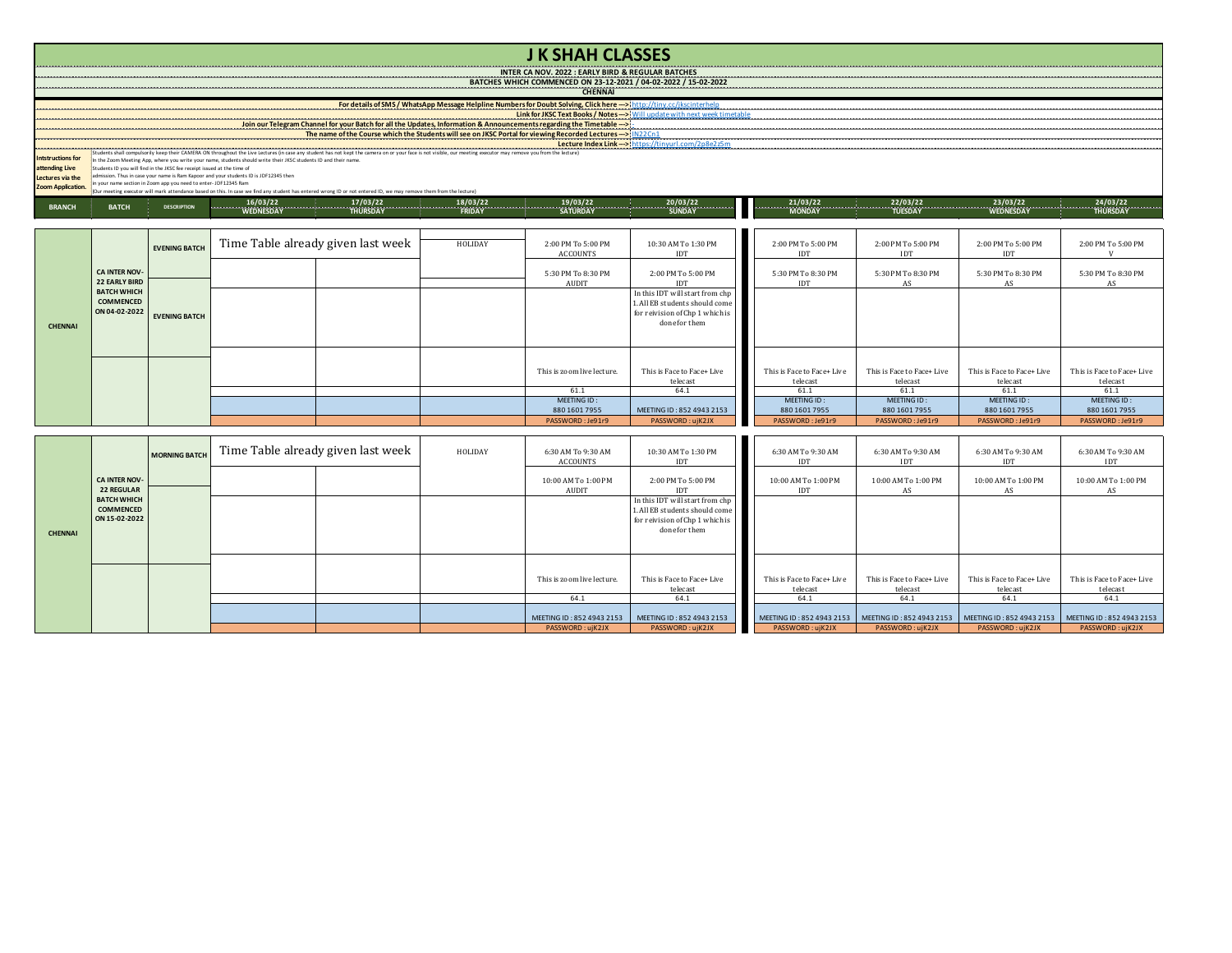|                                                                                                                        | <b>JK SHAH CLASSES</b>                                                                                                                                                                                                                                                                                                                                                                                                                   |                      |                                    |                                    |         |                                       |                                                                                                                       |  |                                        |                                        |                                        |                                        |  |
|------------------------------------------------------------------------------------------------------------------------|------------------------------------------------------------------------------------------------------------------------------------------------------------------------------------------------------------------------------------------------------------------------------------------------------------------------------------------------------------------------------------------------------------------------------------------|----------------------|------------------------------------|------------------------------------|---------|---------------------------------------|-----------------------------------------------------------------------------------------------------------------------|--|----------------------------------------|----------------------------------------|----------------------------------------|----------------------------------------|--|
|                                                                                                                        | <b>INTER CA NOV. 2022 : EARLY BIRD &amp; REGULAR BATCHES</b>                                                                                                                                                                                                                                                                                                                                                                             |                      |                                    |                                    |         |                                       |                                                                                                                       |  |                                        |                                        |                                        |                                        |  |
| BATCHES WHICH COMMENCED ON 23-12-2021 / 04-02-2022 / 15-02-2022<br><b>CHENNAL</b>                                      |                                                                                                                                                                                                                                                                                                                                                                                                                                          |                      |                                    |                                    |         |                                       |                                                                                                                       |  |                                        |                                        |                                        |                                        |  |
|                                                                                                                        |                                                                                                                                                                                                                                                                                                                                                                                                                                          |                      |                                    |                                    |         |                                       |                                                                                                                       |  |                                        |                                        |                                        |                                        |  |
| Join our Telegram Channel for your Batch for all the Updates, Information & Announcements regarding the Timetable ---> |                                                                                                                                                                                                                                                                                                                                                                                                                                          |                      |                                    |                                    |         |                                       |                                                                                                                       |  |                                        |                                        |                                        |                                        |  |
|                                                                                                                        |                                                                                                                                                                                                                                                                                                                                                                                                                                          |                      |                                    |                                    |         |                                       |                                                                                                                       |  |                                        |                                        |                                        |                                        |  |
| <b>Intstructions for</b><br>attending Live                                                                             | n the Zoom Meeting App, where you write your name, students should write their JKSC students ID and their name.<br>itudents ID you will find in the JKSC fee receipt issued at the time of                                                                                                                                                                                                                                               |                      |                                    |                                    |         |                                       |                                                                                                                       |  |                                        |                                        |                                        |                                        |  |
| Lectures via the<br>Zoom Application.                                                                                  | mission. Thus in case your name is Ram Kannor and your students ID is IDE12345 then<br>your name section in Zoom app you need to enter-JDF12345 Ram                                                                                                                                                                                                                                                                                      |                      |                                    |                                    |         |                                       |                                                                                                                       |  |                                        |                                        |                                        |                                        |  |
|                                                                                                                        | Our meeting executor will mark attendance based on this. In case we find any student has entered wrong ID or not entered ID, we may remove them from the lecture)<br>$\begin{array}{cccccccccc} 21/03/22 & 24/03/22 & 23/03/22 & 24/03/22 & 24/03/22 & 24/03/22 & 24/03/22 & 24/03/22 & 24/03/22 & 24/03/22 & 24/03/22 & 24/03/22 & 24/03/22 & 24/03/22 & 24/03/22 & 24/03/22 & 24/03/22 & 24/03/22 & 24/03/22 & 24/03/22 & 24/03/22 & $ |                      |                                    |                                    |         |                                       |                                                                                                                       |  |                                        |                                        |                                        |                                        |  |
| <b>BRANCH</b>                                                                                                          | <b>BATCH</b>                                                                                                                                                                                                                                                                                                                                                                                                                             | <b>DESCRIPTION</b>   |                                    |                                    |         |                                       |                                                                                                                       |  |                                        |                                        |                                        |                                        |  |
|                                                                                                                        |                                                                                                                                                                                                                                                                                                                                                                                                                                          | <b>EVENING BATCH</b> |                                    | Time Table already given last week | HOLIDAY | 2:00 PM To 5:00 PM<br><b>ACCOUNTS</b> | 10:30 AM To 1:30 PM<br><b>IDT</b>                                                                                     |  | 2:00 PM To 5:00 PM<br><b>IDT</b>       | 2:00 PM To 5:00 PM<br><b>IDT</b>       | 2:00 PM To 5:00 PM<br>IDT              | 2:00 PM To 5:00 PM<br>V                |  |
|                                                                                                                        | <b>CA INTER NOV-</b><br><b>22 EARLY BIRD</b>                                                                                                                                                                                                                                                                                                                                                                                             |                      |                                    |                                    |         | 5:30 PM To 8:30 PM<br><b>AUDIT</b>    | 2:00 PM To 5:00 PM<br>IDT                                                                                             |  | 5:30 PM To 8:30 PM<br><b>IDT</b>       | 5:30 PM To 8:30 PM<br>AS               | 5:30 PM To 8:30 PM<br>AS               | 5:30 PM To 8:30 PM<br>AS               |  |
| <b>CHENNAL</b>                                                                                                         | <b>BATCH WHICH</b><br><b>COMMENCED</b><br>ON 04-02-2022                                                                                                                                                                                                                                                                                                                                                                                  | <b>EVENING BATCH</b> |                                    |                                    |         |                                       | In this IDT will start from chp<br>1. All EB students should come<br>for reivision of Chp 1 which is<br>done for them |  |                                        |                                        |                                        |                                        |  |
|                                                                                                                        |                                                                                                                                                                                                                                                                                                                                                                                                                                          |                      |                                    |                                    |         | This is zoom live lecture.            | This is Face to Face+ Live<br>telecast                                                                                |  | This is Face to Face+ Live<br>telecast | This is Face to Face+ Live<br>telecast | This is Face to Face+ Live<br>telecast | This is Face to Face+ Live<br>telecast |  |
|                                                                                                                        |                                                                                                                                                                                                                                                                                                                                                                                                                                          |                      |                                    |                                    |         | 61.1<br>MEETING ID:                   | 64.1                                                                                                                  |  | 61.1<br>MEETING ID:                    | 61.1<br>MEETING ID:                    | 61.1<br>MEETING ID:                    | 61.1<br>MEETING ID:                    |  |
|                                                                                                                        |                                                                                                                                                                                                                                                                                                                                                                                                                                          |                      |                                    |                                    |         | 880 1601 7955<br>PASSWORD: Je91r9     | MEETING ID: 852 4943 2153<br>PASSWORD: uiK2JX                                                                         |  | 880 1601 7955<br>PASSWORD: Je91r9      | 880 1601 7955<br>PASSWORD: Je91r9      | 880 1601 7955<br>PASSWORD: Je91r9      | 880 1601 7955<br>PASSWORD: Je91r9      |  |
|                                                                                                                        |                                                                                                                                                                                                                                                                                                                                                                                                                                          |                      |                                    |                                    |         |                                       |                                                                                                                       |  |                                        |                                        |                                        |                                        |  |
|                                                                                                                        |                                                                                                                                                                                                                                                                                                                                                                                                                                          | <b>MORNING BATCH</b> | Time Table already given last week |                                    | HOLIDAY | 6:30 AM To 9:30 AM<br><b>ACCOUNTS</b> | 10:30 AM To 1:30 PM<br>IDT                                                                                            |  | 6:30 AM To 9:30 AM<br><b>IDT</b>       | 6:30 AM To 9:30 AM<br><b>IDT</b>       | 6:30 AM To 9:30 AM<br>IDT              | 6:30 AM To 9:30 AM<br><b>IDT</b>       |  |
|                                                                                                                        | <b>CA INTER NOV</b><br><b>22 REGULAR</b>                                                                                                                                                                                                                                                                                                                                                                                                 |                      |                                    |                                    |         | 10:00 AM To 1:00 PM<br><b>AUDIT</b>   | 2:00 PM To 5:00 PM<br><b>IDT</b>                                                                                      |  | 10:00 AM To 1:00 PM<br><b>IDT</b>      | 10:00 AM To 1:00 PM<br>AS              | 10:00 AM To 1:00 PM<br>AS              | 10:00 AM To 1:00 PM<br>AS              |  |
| <b>CHENNAI</b>                                                                                                         | <b>BATCH WHICH</b><br><b>COMMENCED</b><br>ON 15-02-2022                                                                                                                                                                                                                                                                                                                                                                                  |                      |                                    |                                    |         |                                       | In this IDT will start from chp<br>1. All EB students should come<br>for reivision of Chp 1 which is<br>done for them |  |                                        |                                        |                                        |                                        |  |

This is zoom live lecture. This is Face to Face+ Live telecast

PASSWORD : ujK2JX PASSWORD : ujK2JX PASSWORD : ujK2JX PASSWORD : ujK2JX PASSWORD : ujK2JX PASSWORD : ujK2JX

This is Face to Face+ Live<br>telecast

m live lecture. This is Face to Face+ Live This is Face to Face+ Live This is Face to Face+ Live the cast the telecast the case of the case of the case of the case of telecast the case of the case of telecast the case of t

This is Face to Face+ Live<br>telecast

MEETING ID : 852 4943 2153 MEETING ID : 852 4943 2153 MEETING ID : 852 4943 2153 MEETING ID : 852 4943 2153 MEETING ID : 852 4943 2153 MEETING ID : 852 4943 2153 MEETING ID : 852 4943 2153 MEETING ID : 852 4943 2153 PASSWO

This is Face to Face+ Live<br>telecast